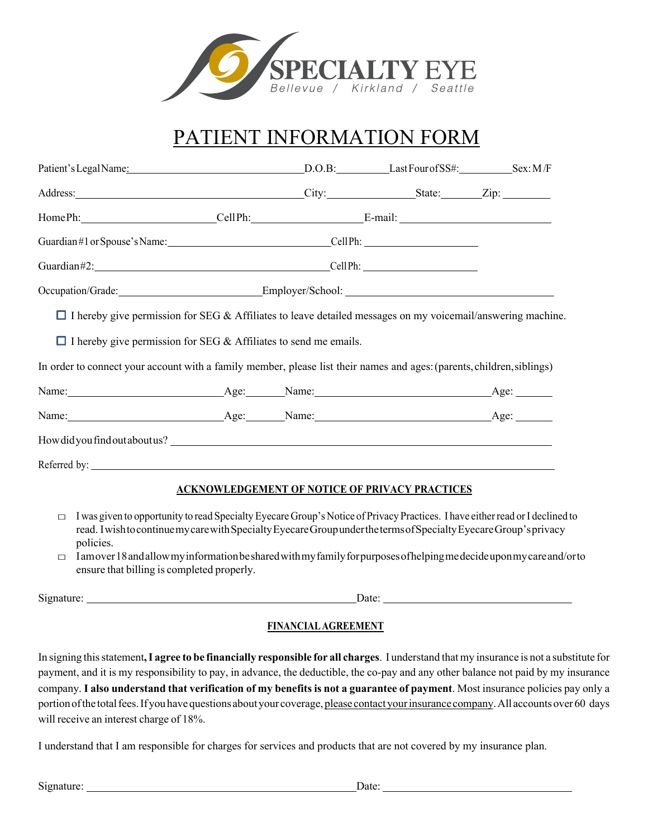

## PATIENT INFORMATION FORM

| Patient's Legal Name: Sex: M/F                                                                                                                                                                                                                               |  |                                                       |  |
|--------------------------------------------------------------------------------------------------------------------------------------------------------------------------------------------------------------------------------------------------------------|--|-------------------------------------------------------|--|
|                                                                                                                                                                                                                                                              |  |                                                       |  |
| HomePh: CellPh: CellPh: E-mail:                                                                                                                                                                                                                              |  |                                                       |  |
| Guardian#1 or Spouse's Name: Cell Ph: Cell Ph:                                                                                                                                                                                                               |  |                                                       |  |
| Guardian#2: CellPh: CellPh:                                                                                                                                                                                                                                  |  |                                                       |  |
|                                                                                                                                                                                                                                                              |  |                                                       |  |
| In order to connect your account with a family member, please list their names and ages: (parents, children, siblings)<br>Name: Age: Age: Name: Age: Age: Age: Age: Age: Age:                                                                                |  |                                                       |  |
| Name: Age: Age: Name: Age: Age: Age: Age: Age:                                                                                                                                                                                                               |  |                                                       |  |
|                                                                                                                                                                                                                                                              |  |                                                       |  |
|                                                                                                                                                                                                                                                              |  |                                                       |  |
|                                                                                                                                                                                                                                                              |  | <b>ACKNOWLEDGEMENT OF NOTICE OF PRIVACY PRACTICES</b> |  |
| I was given to opportunity to read Specialty Eyecare Group's Notice of Privacy Practices. I have either read or I declined to<br>$\Box$<br>read I wish to continue my care with Specialty Evecare Group under the terms of Specialty Evecare Group's privacy |  |                                                       |  |

- read. IwishtocontinuemycarewithSpecialtyEyecareGroupunderthetermsofSpecialtyEyecareGroup'sprivacy policies.
- $\Box$  Iamover 18 and allow my information be shared with my family for purposes of helping medecide upon my care and/orto ensure that billing is completed properly.

Signature: Date:

### **FINANCIALAGREEMENT**

In signing thisstatement**,I agree to be financially responsible for all charges**. I understand that my insurance is not a substitute for payment, and it is my responsibility to pay, in advance, the deductible, the co-pay and any other balance not paid by my insurance company. **I also understand that verification of my benefits is not a guarantee of payment**. Most insurance policies pay only a portion of the total fees. If you have questions about your coverage, please contact your insurance company. All accounts over 60 days will receive an interest charge of 18%.

I understand that I am responsible for charges for services and products that are not covered by my insurance plan.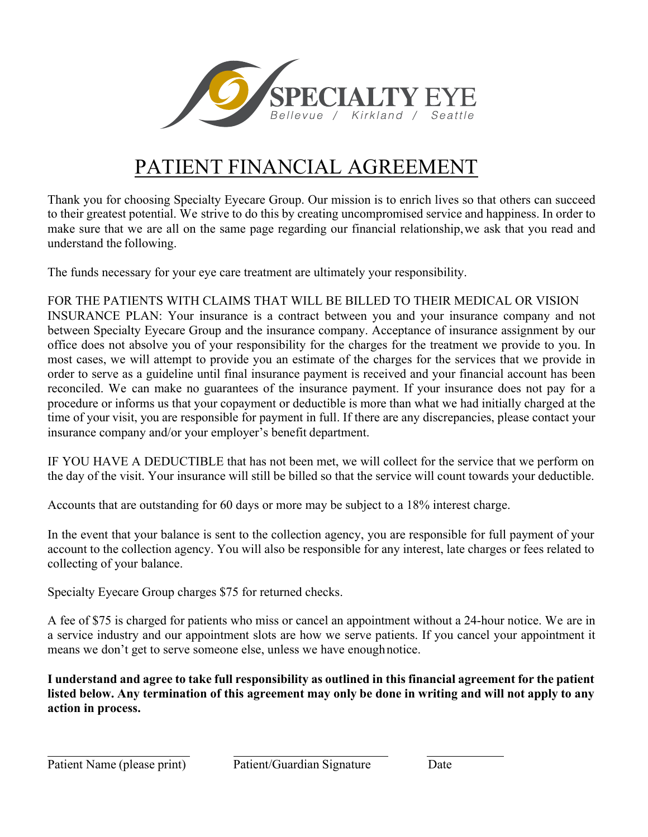

# PATIENT FINANCIAL AGREEMENT

Thank you for choosing Specialty Eyecare Group. Our mission is to enrich lives so that others can succeed to their greatest potential. We strive to do this by creating uncompromised service and happiness. In order to make sure that we are all on the same page regarding our financial relationship,we ask that you read and understand the following.

The funds necessary for your eye care treatment are ultimately your responsibility.

FOR THE PATIENTS WITH CLAIMS THAT WILL BE BILLED TO THEIR MEDICAL OR VISION

INSURANCE PLAN: Your insurance is a contract between you and your insurance company and not between Specialty Eyecare Group and the insurance company. Acceptance of insurance assignment by our office does not absolve you of your responsibility for the charges for the treatment we provide to you. In most cases, we will attempt to provide you an estimate of the charges for the services that we provide in order to serve as a guideline until final insurance payment is received and your financial account has been reconciled. We can make no guarantees of the insurance payment. If your insurance does not pay for a procedure or informs us that your copayment or deductible is more than what we had initially charged at the time of your visit, you are responsible for payment in full. If there are any discrepancies, please contact your insurance company and/or your employer's benefit department.

IF YOU HAVE A DEDUCTIBLE that has not been met, we will collect for the service that we perform on the day of the visit. Your insurance will still be billed so that the service will count towards your deductible.

Accounts that are outstanding for 60 days or more may be subject to a 18% interest charge.

In the event that your balance is sent to the collection agency, you are responsible for full payment of your account to the collection agency. You will also be responsible for any interest, late charges or fees related to collecting of your balance.

Specialty Eyecare Group charges \$75 for returned checks.

A fee of \$75 is charged for patients who miss or cancel an appointment without a 24-hour notice. We are in a service industry and our appointment slots are how we serve patients. If you cancel your appointment it means we don't get to serve someone else, unless we have enoughnotice.

**I understand and agree to take full responsibility as outlined in this financial agreement for the patient**  listed below. Any termination of this agreement may only be done in writing and will not apply to any **action in process.**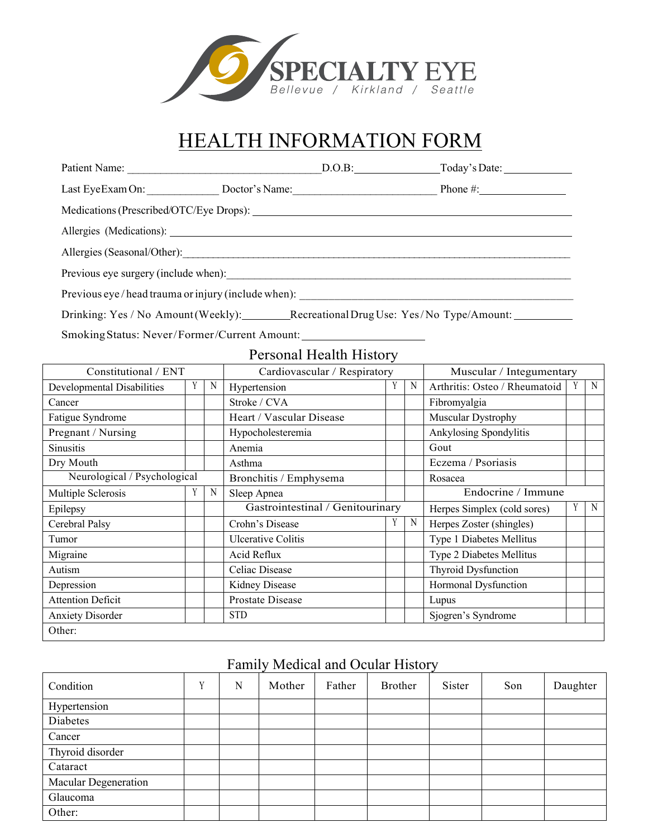

## HEALTH INFORMATION FORM

| Patient Name:                                      |                | D.O.B: Today's Date: |
|----------------------------------------------------|----------------|----------------------|
| Last Eye Exam On:                                  | Doctor's Name: |                      |
|                                                    |                |                      |
| Allergies (Medications):                           |                |                      |
|                                                    |                |                      |
| Previous eye surgery (include when):               |                |                      |
| Previous eye/head trauma or injury (include when): |                |                      |
|                                                    |                |                      |

Drinking: Yes / No Amount(Weekly): Recreational Drug Use: Yes / No Type/Amount: 1992

SmokingStatus: Never/Former/Current Amount:

### Personal Health History

| Constitutional / ENT         |   |   | Cardiovascular / Respiratory      |   | Muscular / Integumentary    |                               |   |   |
|------------------------------|---|---|-----------------------------------|---|-----------------------------|-------------------------------|---|---|
| Developmental Disabilities   | Y | N | Hypertension                      |   | N                           | Arthritis: Osteo / Rheumatoid |   | N |
| Cancer                       |   |   | Stroke / CVA                      |   |                             | Fibromyalgia                  |   |   |
| Fatigue Syndrome             |   |   | Heart / Vascular Disease          |   |                             | Muscular Dystrophy            |   |   |
| Pregnant / Nursing           |   |   | Hypocholesteremia                 |   |                             | Ankylosing Spondylitis        |   |   |
| <b>Sinusitis</b>             |   |   | Anemia                            |   |                             | Gout                          |   |   |
| Dry Mouth                    |   |   | Asthma                            |   |                             | Eczema / Psoriasis            |   |   |
| Neurological / Psychological |   |   | Bronchitis / Emphysema<br>Rosacea |   |                             |                               |   |   |
| Multiple Sclerosis           | Y | N | Sleep Apnea                       |   | Endocrine / Immune          |                               |   |   |
| Epilepsy                     |   |   | Gastrointestinal / Genitourinary  |   | Herpes Simplex (cold sores) | Y                             | N |   |
| Cerebral Palsy               |   |   | Crohn's Disease                   | Y | N                           | Herpes Zoster (shingles)      |   |   |
| Tumor                        |   |   | Ulcerative Colitis                |   |                             | Type 1 Diabetes Mellitus      |   |   |
| Migraine                     |   |   | Acid Reflux                       |   |                             | Type 2 Diabetes Mellitus      |   |   |
| Autism                       |   |   | Celiac Disease                    |   |                             | <b>Thyroid Dysfunction</b>    |   |   |
| Depression                   |   |   | Kidney Disease                    |   |                             | Hormonal Dysfunction          |   |   |
| <b>Attention Deficit</b>     |   |   | Prostate Disease                  |   |                             | Lupus                         |   |   |
| <b>Anxiety Disorder</b>      |   |   | <b>STD</b>                        |   |                             | Sjogren's Syndrome            |   |   |
| Other:                       |   |   |                                   |   |                             |                               |   |   |

### Family Medical and Ocular History

| Condition                   | v | N | Mother | Father | Brother | Sister | Son | Daughter |
|-----------------------------|---|---|--------|--------|---------|--------|-----|----------|
| Hypertension                |   |   |        |        |         |        |     |          |
| Diabetes                    |   |   |        |        |         |        |     |          |
| Cancer                      |   |   |        |        |         |        |     |          |
| Thyroid disorder            |   |   |        |        |         |        |     |          |
| Cataract                    |   |   |        |        |         |        |     |          |
| <b>Macular Degeneration</b> |   |   |        |        |         |        |     |          |
| Glaucoma                    |   |   |        |        |         |        |     |          |
| Other:                      |   |   |        |        |         |        |     |          |